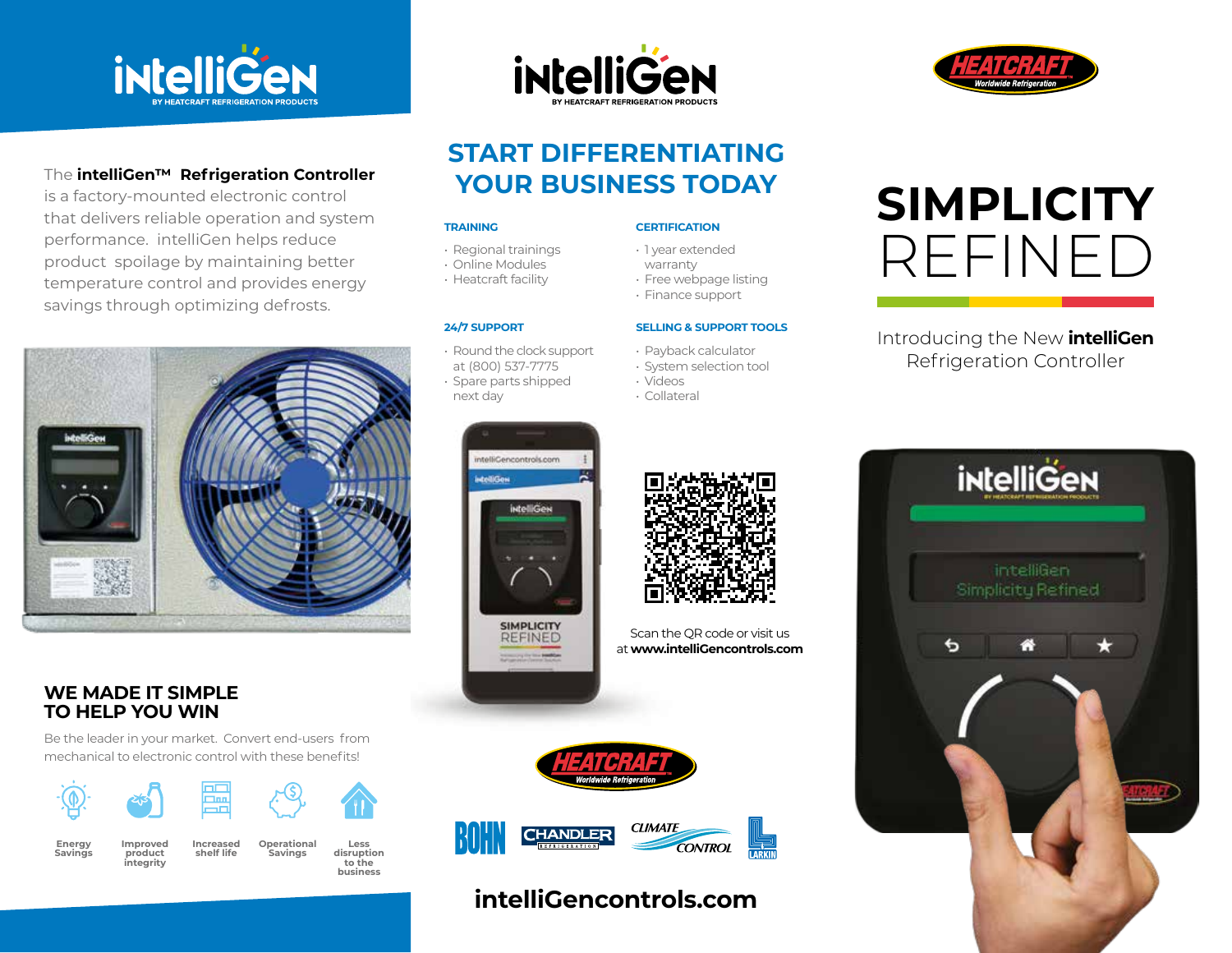



# **START DIFFERENTIATING YOUR BUSINESS TODAY**

### **TRAINING**

- Regional trainings
- Online Modules
- Heatcraft facility

### **24/7 SUPPORT**

- Round the clock support at (800) 537-7775 • Spare parts shipped
- next day

intelliCencontrols.com

**intelliGen** 

**SIMPLICITY REFINED** 

**istelliGen** 

### **CERTIFICATION**

- 1 year extended
- warranty
- Free webpage listing
- Finance support

### **SELLING & SUPPORT TOOLS**

Scan the QR code or visit us at **www.intelliGencontrols.com**

- Payback calculator
- System selection tool
- Videos
- Collateral

# **SIMPLICITY** REFINED

# Introducing the New **intelliGen** Refrigeration Controller



# The **intelliGen™ Refrigeration Controller**

is a factory-mounted electronic control that delivers reliable operation and system performance. intelliGen helps reduce product spoilage by maintaining better temperature control and provides energy savings through optimizing defrosts.



## **WE MADE IT SIMPLE TO HELP YOU WIN**

Be the leader in your market. Convert end-users from mechanical to electronic control with these benefits!









# **intelliGencontrols.com**